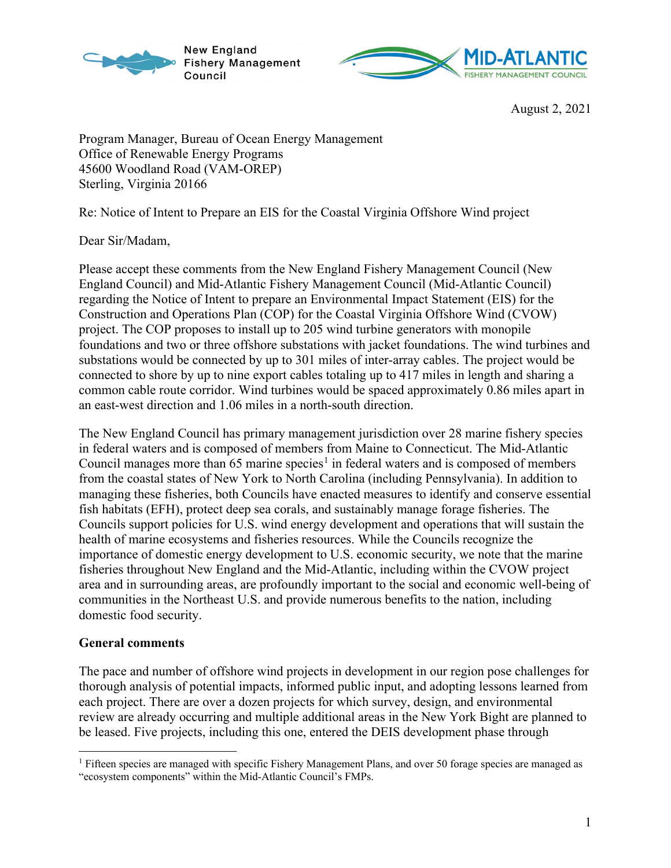



August 2, 2021

Program Manager, Bureau of Ocean Energy Management Office of Renewable Energy Programs 45600 Woodland Road (VAM-OREP) Sterling, Virginia 20166

Re: Notice of Intent to Prepare an EIS for the Coastal Virginia Offshore Wind project

Dear Sir/Madam,

Please accept these comments from the New England Fishery Management Council (New England Council) and Mid-Atlantic Fishery Management Council (Mid-Atlantic Council) regarding the Notice of Intent to prepare an Environmental Impact Statement (EIS) for the Construction and Operations Plan (COP) for the Coastal Virginia Offshore Wind (CVOW) project. The COP proposes to install up to 205 wind turbine generators with monopile foundations and two or three offshore substations with jacket foundations. The wind turbines and substations would be connected by up to 301 miles of inter-array cables. The project would be connected to shore by up to nine export cables totaling up to 417 miles in length and sharing a common cable route corridor. Wind turbines would be spaced approximately 0.86 miles apart in an east-west direction and 1.06 miles in a north-south direction.

The New England Council has primary management jurisdiction over 28 marine fishery species in federal waters and is composed of members from Maine to Connecticut. The Mid-Atlantic Council manages more than 65 marine species<sup>[1](#page-0-0)</sup> in federal waters and is composed of members from the coastal states of New York to North Carolina (including Pennsylvania). In addition to managing these fisheries, both Councils have enacted measures to identify and conserve essential fish habitats (EFH), protect deep sea corals, and sustainably manage forage fisheries. The Councils support policies for U.S. wind energy development and operations that will sustain the health of marine ecosystems and fisheries resources. While the Councils recognize the importance of domestic energy development to U.S. economic security, we note that the marine fisheries throughout New England and the Mid-Atlantic, including within the CVOW project area and in surrounding areas, are profoundly important to the social and economic well-being of communities in the Northeast U.S. and provide numerous benefits to the nation, including domestic food security.

### **General comments**

The pace and number of offshore wind projects in development in our region pose challenges for thorough analysis of potential impacts, informed public input, and adopting lessons learned from each project. There are over a dozen projects for which survey, design, and environmental review are already occurring and multiple additional areas in the New York Bight are planned to be leased. Five projects, including this one, entered the DEIS development phase through

<span id="page-0-0"></span><sup>&</sup>lt;sup>1</sup> Fifteen species are managed with specific Fishery Management Plans, and over 50 forage species are managed as "ecosystem components" within the Mid-Atlantic Council's FMPs.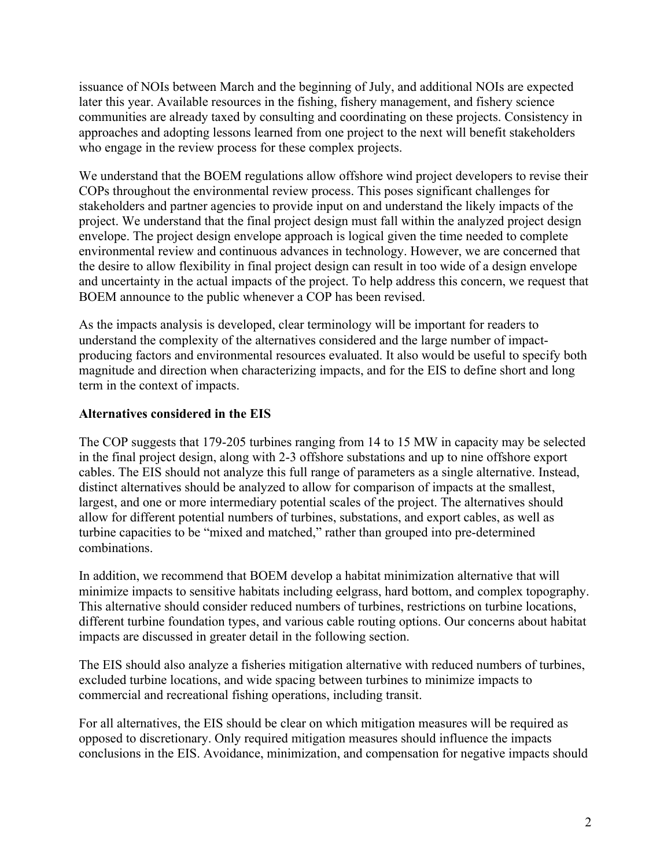issuance of NOIs between March and the beginning of July, and additional NOIs are expected later this year. Available resources in the fishing, fishery management, and fishery science communities are already taxed by consulting and coordinating on these projects. Consistency in approaches and adopting lessons learned from one project to the next will benefit stakeholders who engage in the review process for these complex projects.

We understand that the BOEM regulations allow offshore wind project developers to revise their COPs throughout the environmental review process. This poses significant challenges for stakeholders and partner agencies to provide input on and understand the likely impacts of the project. We understand that the final project design must fall within the analyzed project design envelope. The project design envelope approach is logical given the time needed to complete environmental review and continuous advances in technology. However, we are concerned that the desire to allow flexibility in final project design can result in too wide of a design envelope and uncertainty in the actual impacts of the project. To help address this concern, we request that BOEM announce to the public whenever a COP has been revised.

As the impacts analysis is developed, clear terminology will be important for readers to understand the complexity of the alternatives considered and the large number of impactproducing factors and environmental resources evaluated. It also would be useful to specify both magnitude and direction when characterizing impacts, and for the EIS to define short and long term in the context of impacts.

# **Alternatives considered in the EIS**

The COP suggests that 179-205 turbines ranging from 14 to 15 MW in capacity may be selected in the final project design, along with 2-3 offshore substations and up to nine offshore export cables. The EIS should not analyze this full range of parameters as a single alternative. Instead, distinct alternatives should be analyzed to allow for comparison of impacts at the smallest, largest, and one or more intermediary potential scales of the project. The alternatives should allow for different potential numbers of turbines, substations, and export cables, as well as turbine capacities to be "mixed and matched," rather than grouped into pre-determined combinations.

In addition, we recommend that BOEM develop a habitat minimization alternative that will minimize impacts to sensitive habitats including eelgrass, hard bottom, and complex topography. This alternative should consider reduced numbers of turbines, restrictions on turbine locations, different turbine foundation types, and various cable routing options. Our concerns about habitat impacts are discussed in greater detail in the following section.

The EIS should also analyze a fisheries mitigation alternative with reduced numbers of turbines, excluded turbine locations, and wide spacing between turbines to minimize impacts to commercial and recreational fishing operations, including transit.

For all alternatives, the EIS should be clear on which mitigation measures will be required as opposed to discretionary. Only required mitigation measures should influence the impacts conclusions in the EIS. Avoidance, minimization, and compensation for negative impacts should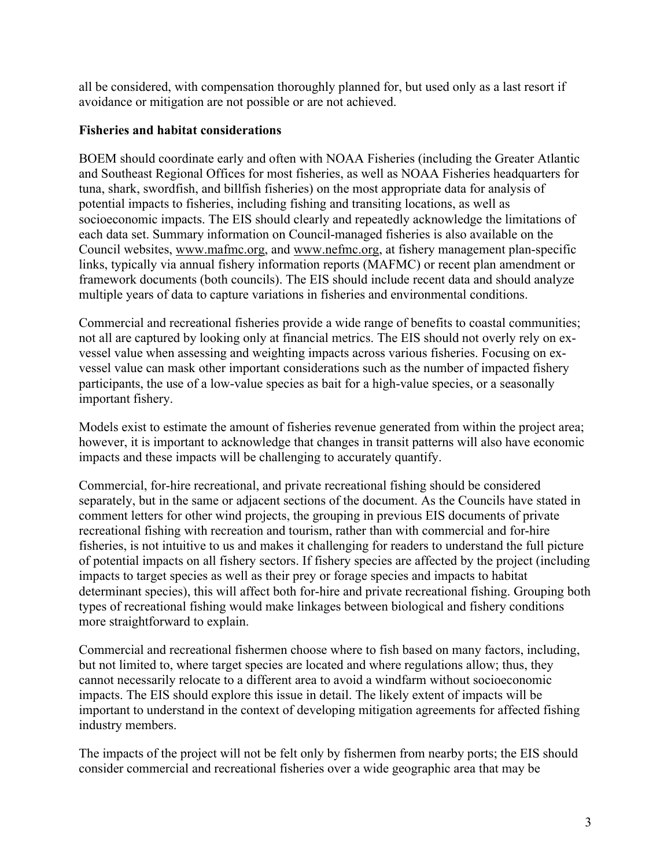all be considered, with compensation thoroughly planned for, but used only as a last resort if avoidance or mitigation are not possible or are not achieved.

# **Fisheries and habitat considerations**

BOEM should coordinate early and often with NOAA Fisheries (including the Greater Atlantic and Southeast Regional Offices for most fisheries, as well as NOAA Fisheries headquarters for tuna, shark, swordfish, and billfish fisheries) on the most appropriate data for analysis of potential impacts to fisheries, including fishing and transiting locations, as well as socioeconomic impacts. The EIS should clearly and repeatedly acknowledge the limitations of each data set. Summary information on Council-managed fisheries is also available on the Council websites, [www.mafmc.org,](http://www.mafmc.org/) and [www.nefmc.org,](http://www.nefmc.org/) at fishery management plan-specific links, typically via annual fishery information reports (MAFMC) or recent plan amendment or framework documents (both councils). The EIS should include recent data and should analyze multiple years of data to capture variations in fisheries and environmental conditions.

Commercial and recreational fisheries provide a wide range of benefits to coastal communities; not all are captured by looking only at financial metrics. The EIS should not overly rely on exvessel value when assessing and weighting impacts across various fisheries. Focusing on exvessel value can mask other important considerations such as the number of impacted fishery participants, the use of a low-value species as bait for a high-value species, or a seasonally important fishery.

Models exist to estimate the amount of fisheries revenue generated from within the project area; however, it is important to acknowledge that changes in transit patterns will also have economic impacts and these impacts will be challenging to accurately quantify.

Commercial, for-hire recreational, and private recreational fishing should be considered separately, but in the same or adjacent sections of the document. As the Councils have stated in comment letters for other wind projects, the grouping in previous EIS documents of private recreational fishing with recreation and tourism, rather than with commercial and for-hire fisheries, is not intuitive to us and makes it challenging for readers to understand the full picture of potential impacts on all fishery sectors. If fishery species are affected by the project (including impacts to target species as well as their prey or forage species and impacts to habitat determinant species), this will affect both for-hire and private recreational fishing. Grouping both types of recreational fishing would make linkages between biological and fishery conditions more straightforward to explain.

Commercial and recreational fishermen choose where to fish based on many factors, including, but not limited to, where target species are located and where regulations allow; thus, they cannot necessarily relocate to a different area to avoid a windfarm without socioeconomic impacts. The EIS should explore this issue in detail. The likely extent of impacts will be important to understand in the context of developing mitigation agreements for affected fishing industry members.

The impacts of the project will not be felt only by fishermen from nearby ports; the EIS should consider commercial and recreational fisheries over a wide geographic area that may be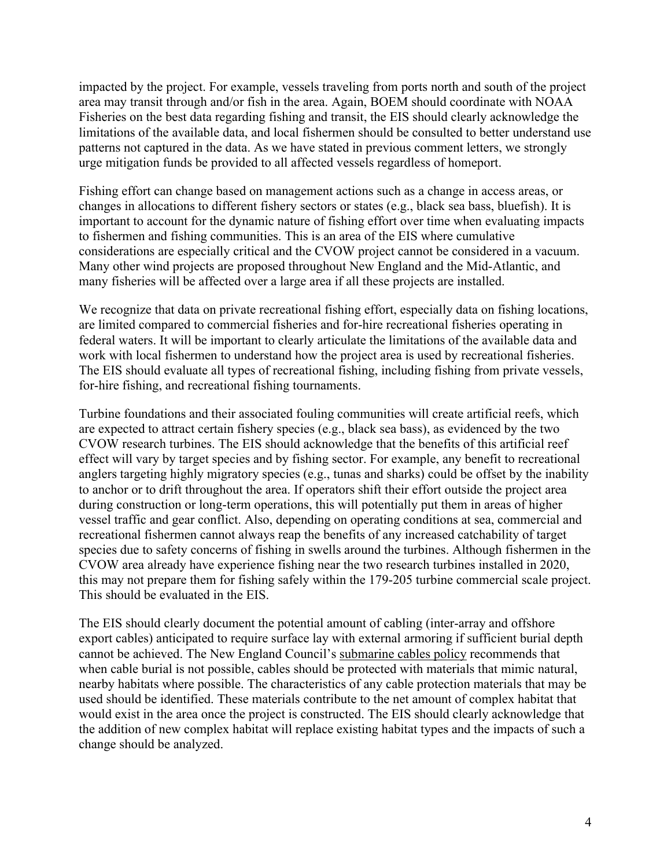impacted by the project. For example, vessels traveling from ports north and south of the project area may transit through and/or fish in the area. Again, BOEM should coordinate with NOAA Fisheries on the best data regarding fishing and transit, the EIS should clearly acknowledge the limitations of the available data, and local fishermen should be consulted to better understand use patterns not captured in the data. As we have stated in previous comment letters, we strongly urge mitigation funds be provided to all affected vessels regardless of homeport.

Fishing effort can change based on management actions such as a change in access areas, or changes in allocations to different fishery sectors or states (e.g., black sea bass, bluefish). It is important to account for the dynamic nature of fishing effort over time when evaluating impacts to fishermen and fishing communities. This is an area of the EIS where cumulative considerations are especially critical and the CVOW project cannot be considered in a vacuum. Many other wind projects are proposed throughout New England and the Mid-Atlantic, and many fisheries will be affected over a large area if all these projects are installed.

We recognize that data on private recreational fishing effort, especially data on fishing locations, are limited compared to commercial fisheries and for-hire recreational fisheries operating in federal waters. It will be important to clearly articulate the limitations of the available data and work with local fishermen to understand how the project area is used by recreational fisheries. The EIS should evaluate all types of recreational fishing, including fishing from private vessels, for-hire fishing, and recreational fishing tournaments.

Turbine foundations and their associated fouling communities will create artificial reefs, which are expected to attract certain fishery species (e.g., black sea bass), as evidenced by the two CVOW research turbines. The EIS should acknowledge that the benefits of this artificial reef effect will vary by target species and by fishing sector. For example, any benefit to recreational anglers targeting highly migratory species (e.g., tunas and sharks) could be offset by the inability to anchor or to drift throughout the area. If operators shift their effort outside the project area during construction or long-term operations, this will potentially put them in areas of higher vessel traffic and gear conflict. Also, depending on operating conditions at sea, commercial and recreational fishermen cannot always reap the benefits of any increased catchability of target species due to safety concerns of fishing in swells around the turbines. Although fishermen in the CVOW area already have experience fishing near the two research turbines installed in 2020, this may not prepare them for fishing safely within the 179-205 turbine commercial scale project. This should be evaluated in the EIS.

The EIS should clearly document the potential amount of cabling (inter-array and offshore export cables) anticipated to require surface lay with external armoring if sufficient burial depth cannot be achieved. The New England Council's [submarine cables policy](https://s3.amazonaws.com/nefmc.org/NEFMC-Submarine-Cables-Policy-1-Dec-2020_201221_095243.pdf) recommends that when cable burial is not possible, cables should be protected with materials that mimic natural, nearby habitats where possible. The characteristics of any cable protection materials that may be used should be identified. These materials contribute to the net amount of complex habitat that would exist in the area once the project is constructed. The EIS should clearly acknowledge that the addition of new complex habitat will replace existing habitat types and the impacts of such a change should be analyzed.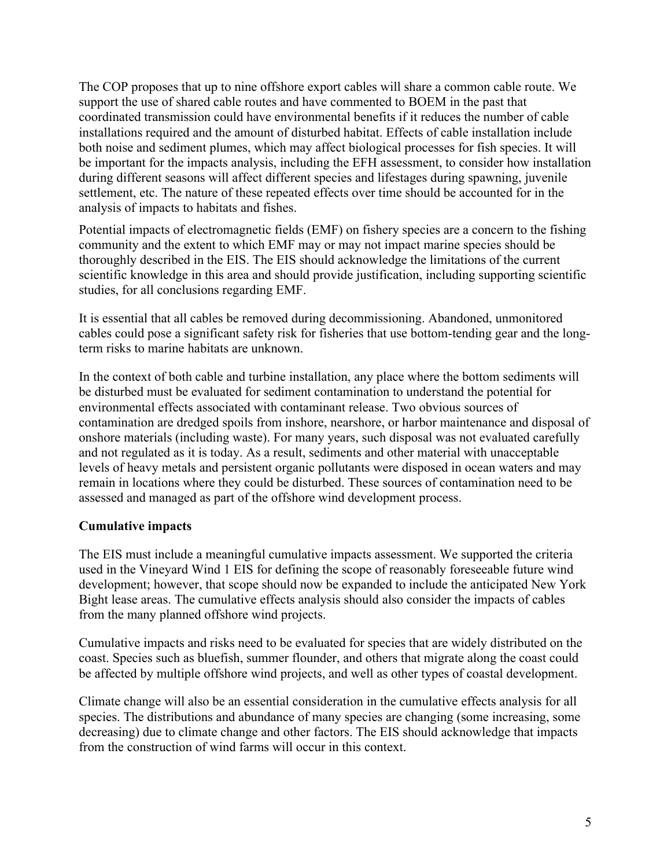The COP proposes that up to nine offshore export cables will share a common cable route. We support the use of shared cable routes and have commented to BOEM in the past that coordinated transmission could have environmental benefits if it reduces the number of cable installations required and the amount of disturbed habitat. Effects of cable installation include both noise and sediment plumes, which may affect biological processes for fish species. It will be important for the impacts analysis, including the EFH assessment, to consider how installation during different seasons will affect different species and lifestages during spawning, juvenile settlement, etc. The nature of these repeated effects over time should be accounted for in the analysis of impacts to habitats and fishes.

Potential impacts of electromagnetic fields (EMF) on fishery species are a concern to the fishing community and the extent to which EMF may or may not impact marine species should be thoroughly described in the EIS. The EIS should acknowledge the limitations of the current scientific knowledge in this area and should provide justification, including supporting scientific studies, for all conclusions regarding EMF.

It is essential that all cables be removed during decommissioning. Abandoned, unmonitored cables could pose a significant safety risk for fisheries that use bottom-tending gear and the longterm risks to marine habitats are unknown.

In the context of both cable and turbine installation, any place where the bottom sediments will be disturbed must be evaluated for sediment contamination to understand the potential for environmental effects associated with contaminant release. Two obvious sources of contamination are dredged spoils from inshore, nearshore, or harbor maintenance and disposal of onshore materials (including waste). For many years, such disposal was not evaluated carefully and not regulated as it is today. As a result, sediments and other material with unacceptable levels of heavy metals and persistent organic pollutants were disposed in ocean waters and may remain in locations where they could be disturbed. These sources of contamination need to be assessed and managed as part of the offshore wind development process.

# **Cumulative impacts**

The EIS must include a meaningful cumulative impacts assessment. We supported the criteria used in the Vineyard Wind 1 EIS for defining the scope of reasonably foreseeable future wind development; however, that scope should now be expanded to include the anticipated New York Bight lease areas. The cumulative effects analysis should also consider the impacts of cables from the many planned offshore wind projects.

Cumulative impacts and risks need to be evaluated for species that are widely distributed on the coast. Species such as bluefish, summer flounder, and others that migrate along the coast could be affected by multiple offshore wind projects, and well as other types of coastal development.

Climate change will also be an essential consideration in the cumulative effects analysis for all species. The distributions and abundance of many species are changing (some increasing, some decreasing) due to climate change and other factors. The EIS should acknowledge that impacts from the construction of wind farms will occur in this context.